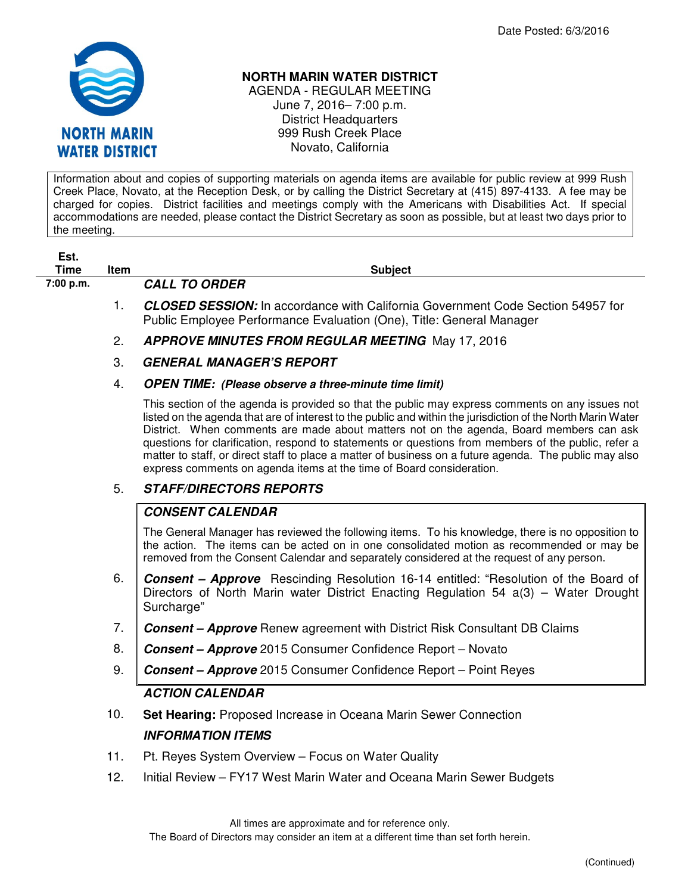

#### **NORTH MARIN WATER DISTRICT**

AGENDA - REGULAR MEETING June 7, 2016– 7:00 p.m. District Headquarters 999 Rush Creek Place Novato, California

Information about and copies of supporting materials on agenda items are available for public review at 999 Rush Creek Place, Novato, at the Reception Desk, or by calling the District Secretary at (415) 897-4133. A fee may be charged for copies. District facilities and meetings comply with the Americans with Disabilities Act. If special accommodations are needed, please contact the District Secretary as soon as possible, but at least two days prior to the meeting.

| Est.<br>Time | <b>Item</b> | <b>Subject</b>                                                                                                                                                 |
|--------------|-------------|----------------------------------------------------------------------------------------------------------------------------------------------------------------|
| 7:00 p.m.    |             | <b>CALL TO ORDER</b>                                                                                                                                           |
|              |             | <b>CLOSED SESSION:</b> In accordance with California Government Code Section 54957 for<br>Public Employee Performance Evaluation (One), Title: General Manager |
|              | 2.          | <b>APPROVE MINUTES FROM REGULAR MEETING May 17, 2016</b>                                                                                                       |
|              | 3.          | <b>GENERAL MANAGER'S REPORT</b>                                                                                                                                |

#### 4. **OPEN TIME: (Please observe a three-minute time limit)**

This section of the agenda is provided so that the public may express comments on any issues not listed on the agenda that are of interest to the public and within the jurisdiction of the North Marin Water District. When comments are made about matters not on the agenda, Board members can ask questions for clarification, respond to statements or questions from members of the public, refer a matter to staff, or direct staff to place a matter of business on a future agenda. The public may also express comments on agenda items at the time of Board consideration.

# 5. **STAFF/DIRECTORS REPORTS**

# **CONSENT CALENDAR**

The General Manager has reviewed the following items. To his knowledge, there is no opposition to the action. The items can be acted on in one consolidated motion as recommended or may be removed from the Consent Calendar and separately considered at the request of any person.

- 6. **Consent Approve** Rescinding Resolution 16-14 entitled: "Resolution of the Board of Directors of North Marin water District Enacting Regulation 54 a(3) – Water Drought Surcharge"
- 7. **Consent Approve** Renew agreement with District Risk Consultant DB Claims
- 8. **Consent Approve** 2015 Consumer Confidence Report Novato
- 9. **Consent Approve** 2015 Consumer Confidence Report Point Reyes

# **ACTION CALENDAR**

- 10. **Set Hearing:** Proposed Increase in Oceana Marin Sewer Connection **INFORMATION ITEMS**
- 11. Pt. Reyes System Overview Focus on Water Quality
- 12. Initial Review FY17 West Marin Water and Oceana Marin Sewer Budgets